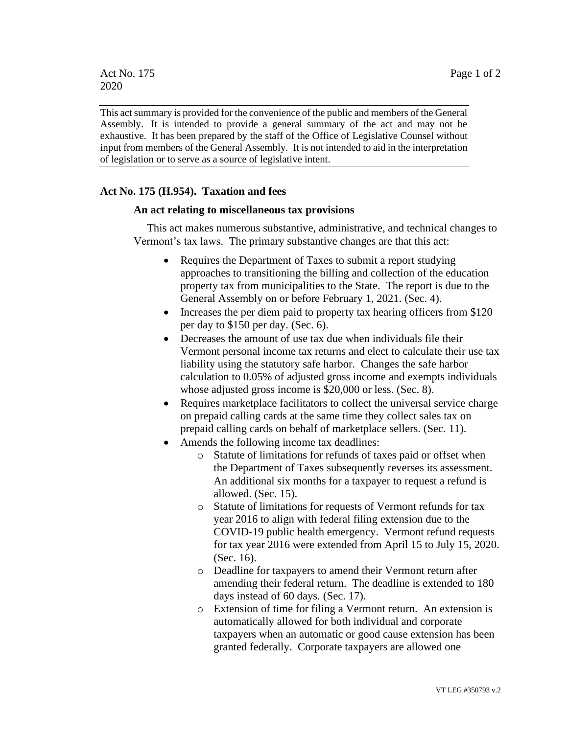This act summary is provided for the convenience of the public and members of the General Assembly. It is intended to provide a general summary of the act and may not be exhaustive. It has been prepared by the staff of the Office of Legislative Counsel without input from members of the General Assembly. It is not intended to aid in the interpretation of legislation or to serve as a source of legislative intent.

## **Act No. 175 (H.954). Taxation and fees**

## **An act relating to miscellaneous tax provisions**

This act makes numerous substantive, administrative, and technical changes to Vermont's tax laws. The primary substantive changes are that this act:

- Requires the Department of Taxes to submit a report studying approaches to transitioning the billing and collection of the education property tax from municipalities to the State. The report is due to the General Assembly on or before February 1, 2021. (Sec. 4).
- Increases the per diem paid to property tax hearing officers from \$120 per day to \$150 per day. (Sec. 6).
- Decreases the amount of use tax due when individuals file their Vermont personal income tax returns and elect to calculate their use tax liability using the statutory safe harbor. Changes the safe harbor calculation to 0.05% of adjusted gross income and exempts individuals whose adjusted gross income is \$20,000 or less. (Sec. 8).
- Requires marketplace facilitators to collect the universal service charge on prepaid calling cards at the same time they collect sales tax on prepaid calling cards on behalf of marketplace sellers. (Sec. 11).
- Amends the following income tax deadlines:
	- o Statute of limitations for refunds of taxes paid or offset when the Department of Taxes subsequently reverses its assessment. An additional six months for a taxpayer to request a refund is allowed. (Sec. 15).
	- o Statute of limitations for requests of Vermont refunds for tax year 2016 to align with federal filing extension due to the COVID-19 public health emergency. Vermont refund requests for tax year 2016 were extended from April 15 to July 15, 2020. (Sec. 16).
	- o Deadline for taxpayers to amend their Vermont return after amending their federal return. The deadline is extended to 180 days instead of 60 days. (Sec. 17).
	- o Extension of time for filing a Vermont return. An extension is automatically allowed for both individual and corporate taxpayers when an automatic or good cause extension has been granted federally. Corporate taxpayers are allowed one